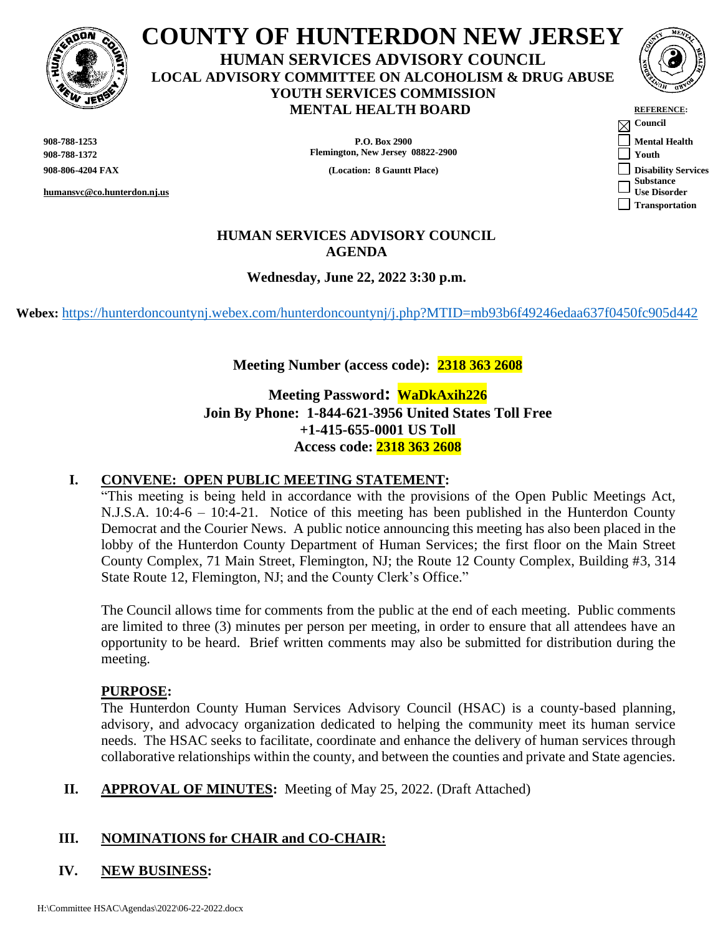

# **COUNTY OF HUNTERDON NEW JERSEY HUMAN SERVICES ADVISORY COUNCIL LOCAL ADVISORY COMMITTEE ON ALCOHOLISM & DRUG ABUSE YOUTH SERVICES COMMISSION MENTAL HEALTH BOARD**

**humansvc@co.hunterdon.nj.us**

**908-788-1253 P.O. Box 2900 Mental Health 908-788-1372 Flemington, New Jersey 08822-2900 Youth**

**908-806-4204 FAX Location: 8 Gauntt Place**)



| <b>REFERENCE:</b>         |
|---------------------------|
| Council                   |
| <b>Mental Health</b>      |
| Youth                     |
| <b>Disability Service</b> |
| Substance                 |
| <b>Use Disorder</b>       |
| Transportation            |
|                           |

# **HUMAN SERVICES ADVISORY COUNCIL AGENDA**

**Wednesday, June 22, 2022 3:30 p.m.**

**Webex:** <https://hunterdoncountynj.webex.com/hunterdoncountynj/j.php?MTID=mb93b6f49246edaa637f0450fc905d442>

# **Meeting Number (access code): 2318 363 2608**

**Meeting Password: WaDkAxih226 Join By Phone: 1-844-621-3956 United States Toll Free +1-415-655-0001 US Toll Access code: 2318 363 2608**

# **I. CONVENE: OPEN PUBLIC MEETING STATEMENT:**

"This meeting is being held in accordance with the provisions of the Open Public Meetings Act, N.J.S.A. 10:4-6 – 10:4-21. Notice of this meeting has been published in the Hunterdon County Democrat and the Courier News. A public notice announcing this meeting has also been placed in the lobby of the Hunterdon County Department of Human Services; the first floor on the Main Street County Complex, 71 Main Street, Flemington, NJ; the Route 12 County Complex, Building #3, 314 State Route 12, Flemington, NJ; and the County Clerk's Office."

The Council allows time for comments from the public at the end of each meeting. Public comments are limited to three (3) minutes per person per meeting, in order to ensure that all attendees have an opportunity to be heard. Brief written comments may also be submitted for distribution during the meeting.

# **PURPOSE:**

The Hunterdon County Human Services Advisory Council (HSAC) is a county-based planning, advisory, and advocacy organization dedicated to helping the community meet its human service needs. The HSAC seeks to facilitate, coordinate and enhance the delivery of human services through collaborative relationships within the county, and between the counties and private and State agencies.

**II. APPROVAL OF MINUTES:** Meeting of May 25, 2022. (Draft Attached)

# **III. NOMINATIONS for CHAIR and CO-CHAIR:**

# **IV. NEW BUSINESS:**